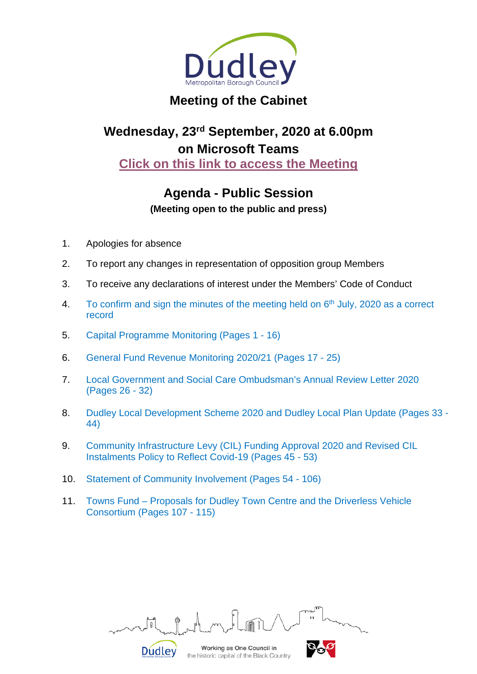

## **Meeting of the Cabinet**

# **Wednesday, 23rd September, 2020 at 6.00pm on Microsoft Teams [Click on this link to access the Meeting](https://teams.microsoft.com/l/meetup-join/19%3ameeting_M2U2ZDljN2QtNDYwMy00NjNjLWJjNGQtZWQyMTM0NWVlYjQ3%40thread.v2/0?context=%7b%22Tid%22%3a%22e6a7eb3f-ec2a-4216-93de-823d273b1d03%22%2c%22Oid%22%3a%227e4986c6-65e8-4e44-824f-6c3691f36d87%22%7d)**

### **Agenda - Public Session**

**(Meeting open to the public and press)**

- 1. Apologies for absence
- 2. To report any changes in representation of opposition group Members
- 3. To receive any declarations of interest under the Members' Code of Conduct
- 4. To confirm and sign the minutes of the meeting held on  $6<sup>th</sup>$  July, 2020 as a correct record
- 5. Capital Programme Monitoring (Pages 1 16)
- 6. General Fund Revenue Monitoring 2020/21 (Pages 17 25)
- 7. Local Government and Social Care Ombudsman's Annual Review Letter 2020 (Pages 26 - 32)
- 8. Dudley Local Development Scheme 2020 and Dudley Local Plan Update (Pages 33 44)
- 9. Community Infrastructure Levy (CIL) Funding Approval 2020 and Revised CIL Instalments Policy to Reflect Covid-19 (Pages 45 - 53)
- 10. Statement of Community Involvement (Pages 54 106)

**Dudley** 

11. Towns Fund – Proposals for Dudley Town Centre and the Driverless Vehicle Consortium (Pages 107 - 115)

Working as One Council in

the historic capital of the Black Country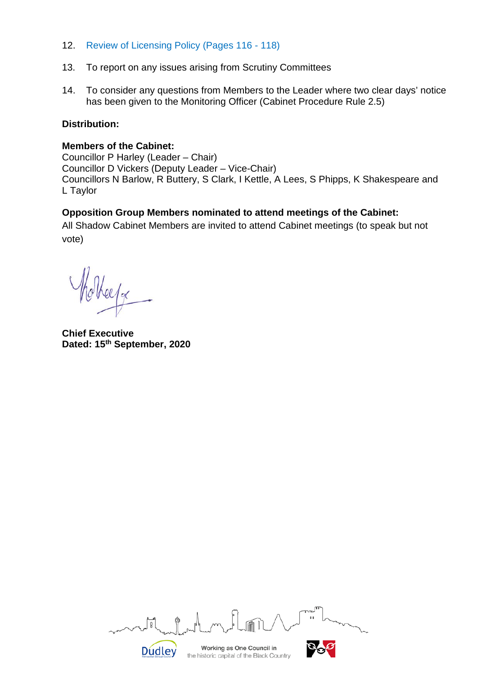- 12. Review of Licensing Policy (Pages 116 118)
- 13. To report on any issues arising from Scrutiny Committees
- 14. To consider any questions from Members to the Leader where two clear days' notice has been given to the Monitoring Officer (Cabinet Procedure Rule 2.5)

#### **Distribution:**

#### **Members of the Cabinet:**

Councillor P Harley (Leader – Chair) Councillor D Vickers (Deputy Leader – Vice-Chair) Councillors N Barlow, R Buttery, S Clark, I Kettle, A Lees, S Phipps, K Shakespeare and L Taylor

#### **Opposition Group Members nominated to attend meetings of the Cabinet:**

All Shadow Cabinet Members are invited to attend Cabinet meetings (to speak but not vote)

Hotherfor

**Chief Executive Dated: 15th September, 2020**

|        | nn.                                                                    | 71 I T<br>TUW<br>$\mathbf{I}$ |
|--------|------------------------------------------------------------------------|-------------------------------|
| Dudley | Working as One Council in<br>the historic capital of the Black Country |                               |